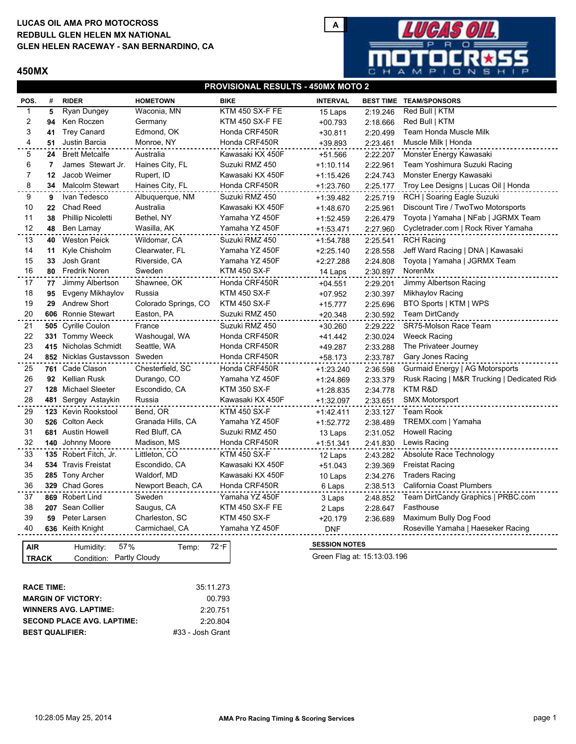# **LUCAS OIL AMA PRO MOTOCROSS GLEN HELEN RACEWAY - SAN BERNARDINO, CA REDBULL GLEN HELEN MX NATIONAL**

### **450MX**



### **PROVISIONAL RESULTS - 450MX MOTO 2**

| POS.                                      | #  | <b>RIDER</b>                  | <b>HOMETOWN</b>      | <b>BIKE</b>         | <b>INTERVAL</b>             |          | <b>BEST TIME TEAM/SPONSORS</b>             |  |  |
|-------------------------------------------|----|-------------------------------|----------------------|---------------------|-----------------------------|----------|--------------------------------------------|--|--|
| 1                                         | 5  | Ryan Dungey                   | Waconia, MN          | KTM 450 SX-F FE     | 15 Laps                     | 2:19.246 | Red Bull   KTM                             |  |  |
| 2                                         | 94 | Ken Roczen                    | Germany              | KTM 450 SX-F FE     | $+00.793$                   | 2:18.666 | Red Bull   KTM                             |  |  |
| 3                                         | 41 | <b>Trey Canard</b>            | Edmond, OK           | Honda CRF450R       | $+30.811$                   | 2:20.499 | Team Honda Muscle Milk                     |  |  |
| 4                                         |    | 51 Justin Barcia              | Monroe, NY           | Honda CRF450R       | +39.893                     | 2:23.461 | Muscle Milk   Honda                        |  |  |
| 5                                         | 24 | <b>Brett Metcalfe</b>         | Australia            | Kawasaki KX 450F    | +51.566                     | 2:22.207 | Monster Energy Kawasaki                    |  |  |
| 6                                         | 7  | James Stewart Jr.             | Haines City, FL      | Suzuki RMZ 450      | $+1:10.114$                 | 2:22.961 | Team Yoshimura Suzuki Racing               |  |  |
| 7                                         | 12 | Jacob Weimer                  | Rupert, ID           | Kawasaki KX 450F    | $+1:15.426$                 | 2:24.743 | Monster Energy Kawasaki                    |  |  |
| 8                                         | 34 | Malcolm Stewart               | Haines City, FL      | Honda CRF450R       | +1:23.760                   | 2:25.177 | Troy Lee Designs   Lucas Oil   Honda       |  |  |
| 9                                         | 9  | Ivan Tedesco                  | Albuquerque, NM      | Suzuki RMZ 450      | +1:39.482                   | 2:25.719 | RCH   Soaring Eagle Suzuki                 |  |  |
| 10                                        | 22 | <b>Chad Reed</b>              | Australia            | Kawasaki KX 450F    | +1:48.670                   | 2:25.961 | Discount Tire / TwoTwo Motorsports         |  |  |
| 11                                        | 38 | Phillip Nicoletti             | Bethel, NY           | Yamaha YZ 450F      | +1:52.459                   | 2:26.479 | Toyota   Yamaha   NFab   JGRMX Team        |  |  |
| 12                                        | 48 | Ben Lamay                     | Wasilla, AK          | Yamaha YZ 450F      | +1:53.471                   | 2:27.960 | Cycletrader.com   Rock River Yamaha        |  |  |
| 13                                        | 40 | <b>Weston Peick</b>           | Wildomar, CA         | Suzuki RMZ 450      | +1:54.788                   | 2:25.541 | <b>RCH Racing</b>                          |  |  |
| 14                                        | 11 | Kyle Chisholm                 | Clearwater, FL       | Yamaha YZ 450F      | $+2:25.140$                 | 2:28.558 | Jeff Ward Racing   DNA   Kawasaki          |  |  |
| 15                                        | 33 | Josh Grant                    | Riverside, CA        | Yamaha YZ 450F      | +2:27.288                   | 2:24.808 | Toyota   Yamaha   JGRMX Team               |  |  |
| 16                                        | 80 | <b>Fredrik Noren</b>          | Sweden               | <b>KTM 450 SX-F</b> | 14 Laps                     | 2:30.897 | NorenMx                                    |  |  |
| 17                                        | 77 | Jimmy Albertson               | Shawnee, OK          | Honda CRF450R       | $+04.551$                   | 2:29.201 | Jimmy Albertson Racing                     |  |  |
| 18                                        | 95 | Evgeny Mikhaylov              | Russia               | <b>KTM 450 SX-F</b> | $+07.952$                   | 2:30.397 | Mikhaylov Racing                           |  |  |
| 19                                        | 29 | <b>Andrew Short</b>           | Colorado Springs, CO | <b>KTM 450 SX-F</b> | $+15.777$                   | 2:25.696 | BTO Sports   KTM   WPS                     |  |  |
| 20                                        |    | 606 Ronnie Stewart            | Easton, PA           | Suzuki RMZ 450      | $+20.348$                   | 2:30.592 | <b>Team DirtCandy</b>                      |  |  |
| 21                                        |    | 505 Cyrille Coulon            | France               | Suzuki RMZ 450      | $+30.260$                   | 2:29.222 | SR75-Molson Race Team                      |  |  |
| 22                                        |    | 331 Tommy Weeck               | Washougal, WA        | Honda CRF450R       | $+41.442$                   | 2:30.024 | <b>Weeck Racing</b>                        |  |  |
| 23                                        |    | 415 Nicholas Schmidt          | Seattle, WA          | Honda CRF450R       | +49.287                     | 2:33.288 | The Privateer Journey                      |  |  |
| 24                                        |    | 852 Nicklas Gustavsson Sweden |                      | Honda CRF450R       | $+58.173$                   | 2:33.787 | Gary Jones Racing                          |  |  |
| 25                                        |    | 761 Cade Clason               | Chesterfield, SC     | Honda CRF450R       | +1:23.240                   | 2:36.598 | Gurmaid Energy   AG Motorsports            |  |  |
| 26                                        | 92 | Kellian Rusk                  | Durango, CO          | Yamaha YZ 450F      | $+1:24.869$                 | 2:33.379 | Rusk Racing   M&R Trucking   Dedicated Rid |  |  |
| 27                                        |    | 128 Michael Sleeter           | Escondido, CA        | <b>KTM 350 SX-F</b> | +1:28.835                   | 2:34.778 | KTM R&D                                    |  |  |
| 28                                        |    | 481 Sergey Astaykin           | Russia               | Kawasaki KX 450F    | +1:32.097                   | 2:33.651 | <b>SMX Motorsport</b>                      |  |  |
| 29                                        |    | 123 Kevin Rookstool           | Bend, OR             | <b>KTM 450 SX-F</b> | $+1:42.411$                 | 2:33.127 | <b>Team Rook</b>                           |  |  |
| 30                                        |    | 526 Colton Aeck               | Granada Hills, CA    | Yamaha YZ 450F      | +1:52.772                   | 2:38.489 | TREMX.com   Yamaha                         |  |  |
| 31                                        |    | 681 Austin Howell             | Red Bluff, CA        | Suzuki RMZ 450      | 13 Laps                     | 2:31.052 | <b>Howell Racing</b>                       |  |  |
| 32                                        |    | 140 Johnny Moore              | Madison, MS          | Honda CRF450R       | $+1:51.341$                 | 2:41.830 | Lewis Racing                               |  |  |
| 33                                        |    | 135 Robert Fitch, Jr.         | Littleton, CO        | <b>KTM 450 SX-F</b> | 12 Laps                     | 2:43.282 | Absolute Race Technology                   |  |  |
| 34                                        |    | 534 Travis Freistat           | Escondido, CA        | Kawasaki KX 450F    | $+51.043$                   | 2:39.369 | <b>Freistat Racing</b>                     |  |  |
| 35                                        |    | 285 Tony Archer               | Waldorf, MD          | Kawasaki KX 450F    | 10 Laps                     | 2:34.276 | <b>Traders Racing</b>                      |  |  |
| 36                                        |    | 329 Chad Gores                | Newport Beach, CA    | Honda CRF450R       | 6 Laps                      | 2:38.513 | California Coast Plumbers                  |  |  |
| 37                                        |    | 869 Robert Lind               | Sweden               | Yamaha YZ 450F      | 3 Laps                      | 2:48.852 | Team DirtCandy Graphics   PRBC.com         |  |  |
| 38                                        |    | 207 Sean Collier              | Saugus, CA           | KTM 450 SX-F FE     | 2 Laps                      | 2:28.647 | Fasthouse                                  |  |  |
| 39                                        | 59 | Peter Larsen                  | Charleston, SC       | <b>KTM 450 SX-F</b> | +20.179                     | 2:36.689 | Maximum Bully Dog Food                     |  |  |
| 40                                        |    | 636 Keith Knight              | Carmichael, CA       | Yamaha YZ 450F      | <b>DNF</b>                  |          | Roseville Yamaha   Haeseker Racing         |  |  |
|                                           |    |                               |                      |                     |                             |          |                                            |  |  |
| 57%<br>72 °F<br>AIR<br>Temp:<br>Humidity: |    |                               |                      |                     | <b>SESSION NOTES</b>        |          |                                            |  |  |
| Condition: Partly Cloudy<br><b>TRACK</b>  |    |                               |                      |                     | Green Flag at: 15:13:03.196 |          |                                            |  |  |

| <b>RACE TIME:</b>                 | 35:11.273        |
|-----------------------------------|------------------|
| <b>MARGIN OF VICTORY:</b>         | 00.793           |
| <b>WINNERS AVG. LAPTIME:</b>      | 2:20.751         |
| <b>SECOND PLACE AVG. LAPTIME:</b> | 2:20.804         |
| <b>BEST QUALIFIER:</b>            | #33 - Josh Grant |